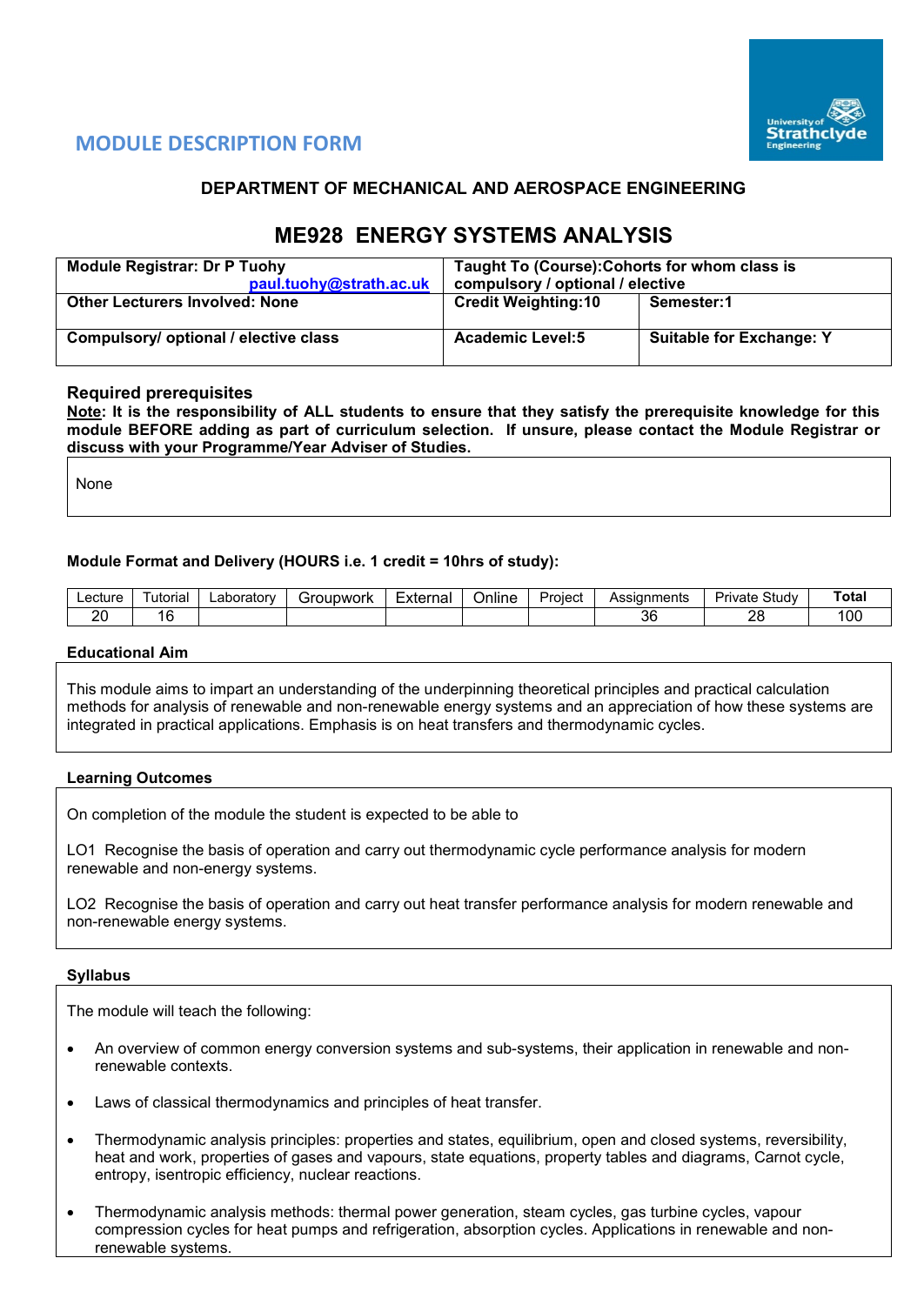

# **MODULE DESCRIPTION FORM**

# **DEPARTMENT OF MECHANICAL AND AEROSPACE ENGINEERING**

# **ME928 ENERGY SYSTEMS ANALYSIS**

| <b>Module Registrar: Dr P Tuohy</b><br>paul.tuohy@strath.ac.uk | Taught To (Course): Cohorts for whom class is<br>compulsory / optional / elective |                                 |  |  |  |
|----------------------------------------------------------------|-----------------------------------------------------------------------------------|---------------------------------|--|--|--|
| <b>Other Lecturers Involved: None</b>                          | <b>Credit Weighting:10</b>                                                        | Semester:1                      |  |  |  |
| Compulsory/ optional / elective class                          | <b>Academic Level:5</b>                                                           | <b>Suitable for Exchange: Y</b> |  |  |  |

## **Required prerequisites**

**Note: It is the responsibility of ALL students to ensure that they satisfy the prerequisite knowledge for this module BEFORE adding as part of curriculum selection. If unsure, please contact the Module Registrar or discuss with your Programme/Year Adviser of Studies.** 

None

#### **Module Format and Delivery (HOURS i.e. 1 credit = 10hrs of study):**

| ∟ecture⊹  | utorial | ∟aborator∨ | `roupwork<br>- 11 | External | <b>Jnline</b> | Proiect | ments<br>Assianr | Study<br>Private | `otal |
|-----------|---------|------------|-------------------|----------|---------------|---------|------------------|------------------|-------|
| oc<br>. . |         |            |                   |          |               |         | 36               | ኅር<br>∼          | 00    |

#### **Educational Aim**

This module aims to impart an understanding of the underpinning theoretical principles and practical calculation methods for analysis of renewable and non-renewable energy systems and an appreciation of how these systems are integrated in practical applications. Emphasis is on heat transfers and thermodynamic cycles.

#### **Learning Outcomes**

On completion of the module the student is expected to be able to

LO1 Recognise the basis of operation and carry out thermodynamic cycle performance analysis for modern renewable and non-energy systems.

LO2 Recognise the basis of operation and carry out heat transfer performance analysis for modern renewable and non-renewable energy systems.

#### **Syllabus**

The module will teach the following:

- An overview of common energy conversion systems and sub-systems, their application in renewable and nonrenewable contexts.
- Laws of classical thermodynamics and principles of heat transfer.
- Thermodynamic analysis principles: properties and states, equilibrium, open and closed systems, reversibility, heat and work, properties of gases and vapours, state equations, property tables and diagrams, Carnot cycle, entropy, isentropic efficiency, nuclear reactions.
- Thermodynamic analysis methods: thermal power generation, steam cycles, gas turbine cycles, vapour compression cycles for heat pumps and refrigeration, absorption cycles. Applications in renewable and nonrenewable systems.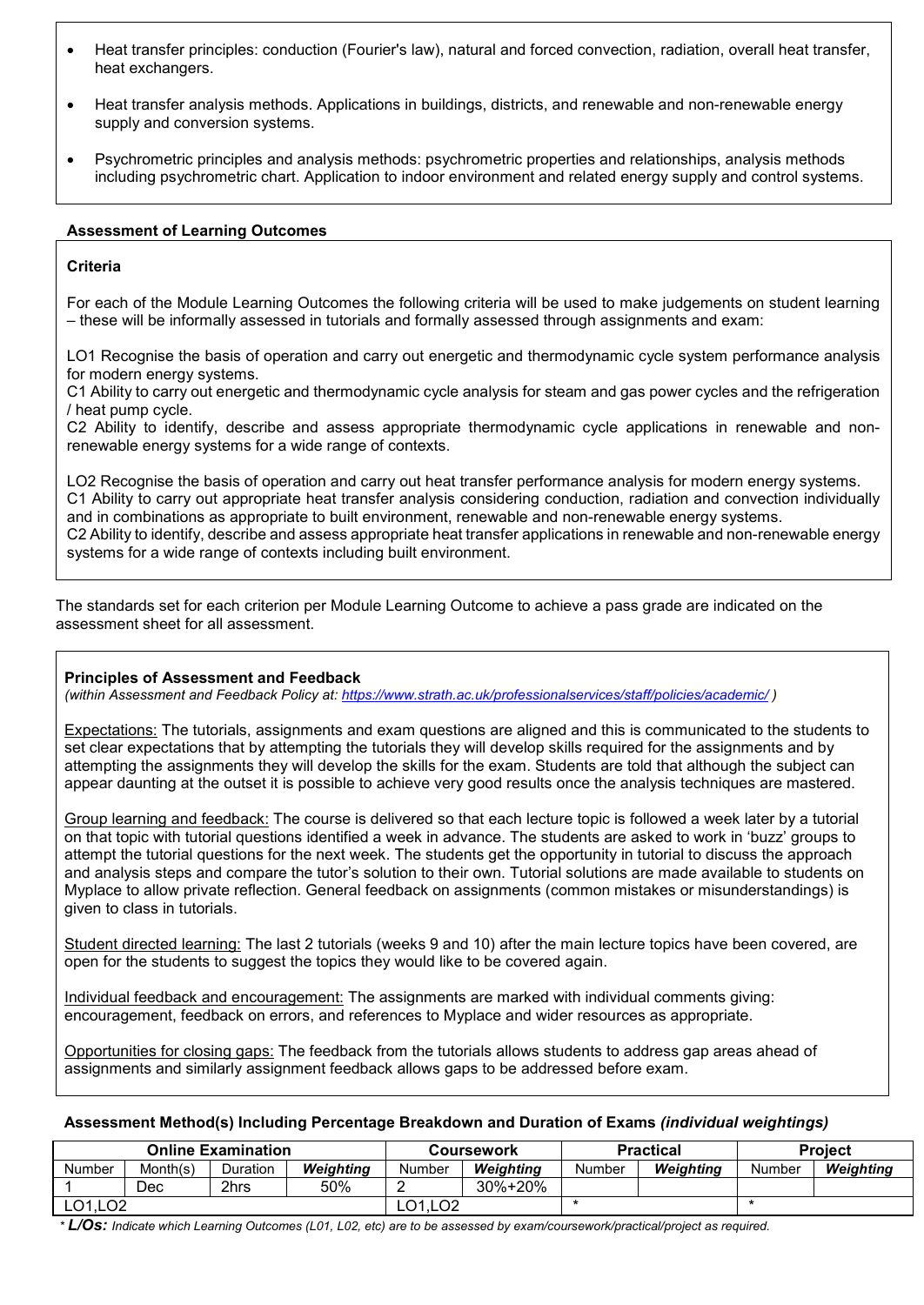- Heat transfer principles: conduction (Fourier's law), natural and forced convection, radiation, overall heat transfer, heat exchangers.
- Heat transfer analysis methods. Applications in buildings, districts, and renewable and non-renewable energy supply and conversion systems.
- Psychrometric principles and analysis methods: psychrometric properties and relationships, analysis methods including psychrometric chart. Application to indoor environment and related energy supply and control systems.

## **Assessment of Learning Outcomes**

# **Criteria**

For each of the Module Learning Outcomes the following criteria will be used to make judgements on student learning – these will be informally assessed in tutorials and formally assessed through assignments and exam:

LO1 Recognise the basis of operation and carry out energetic and thermodynamic cycle system performance analysis for modern energy systems.

C1 Ability to carry out energetic and thermodynamic cycle analysis for steam and gas power cycles and the refrigeration / heat pump cycle.

C2 Ability to identify, describe and assess appropriate thermodynamic cycle applications in renewable and nonrenewable energy systems for a wide range of contexts.

LO2 Recognise the basis of operation and carry out heat transfer performance analysis for modern energy systems. C1 Ability to carry out appropriate heat transfer analysis considering conduction, radiation and convection individually and in combinations as appropriate to built environment, renewable and non-renewable energy systems. C2 Ability to identify, describe and assess appropriate heat transfer applications in renewable and non-renewable energy systems for a wide range of contexts including built environment.

The standards set for each criterion per Module Learning Outcome to achieve a pass grade are indicated on the assessment sheet for all assessment.

#### **Principles of Assessment and Feedback**

*(within Assessment and Feedback Policy at:<https://www.strath.ac.uk/professionalservices/staff/policies/academic/> )*

Expectations: The tutorials, assignments and exam questions are aligned and this is communicated to the students to set clear expectations that by attempting the tutorials they will develop skills required for the assignments and by attempting the assignments they will develop the skills for the exam. Students are told that although the subject can appear daunting at the outset it is possible to achieve very good results once the analysis techniques are mastered.

Group learning and feedback: The course is delivered so that each lecture topic is followed a week later by a tutorial on that topic with tutorial questions identified a week in advance. The students are asked to work in 'buzz' groups to attempt the tutorial questions for the next week. The students get the opportunity in tutorial to discuss the approach and analysis steps and compare the tutor's solution to their own. Tutorial solutions are made available to students on Myplace to allow private reflection. General feedback on assignments (common mistakes or misunderstandings) is given to class in tutorials.

Student directed learning: The last 2 tutorials (weeks 9 and 10) after the main lecture topics have been covered, are open for the students to suggest the topics they would like to be covered again.

Individual feedback and encouragement: The assignments are marked with individual comments giving: encouragement, feedback on errors, and references to Myplace and wider resources as appropriate.

Opportunities for closing gaps: The feedback from the tutorials allows students to address gap areas ahead of assignments and similarly assignment feedback allows gaps to be addressed before exam.

#### **Assessment Method(s) Including Percentage Breakdown and Duration of Exams** *(individual weightings)*

| <b>Online Examination</b> |          |          |           |         | Coursework |        | <b>Practical</b> | <b>Project</b> |           |  |
|---------------------------|----------|----------|-----------|---------|------------|--------|------------------|----------------|-----------|--|
| <b>Number</b>             | Month(s) | Duration | Weiahtina | Number  | Weiahtina  | Number | Weiahtina        | Number         | Weiahtina |  |
|                           | Dec      | 2hrs     | 50%       |         | 30%+20%    |        |                  |                |           |  |
| LO1, LO <sub>2</sub>      |          |          |           | LO1.LO2 |            |        |                  |                |           |  |

*\* L/Os: Indicate which Learning Outcomes (L01, L02, etc) are to be assessed by exam/coursework/practical/project as required.*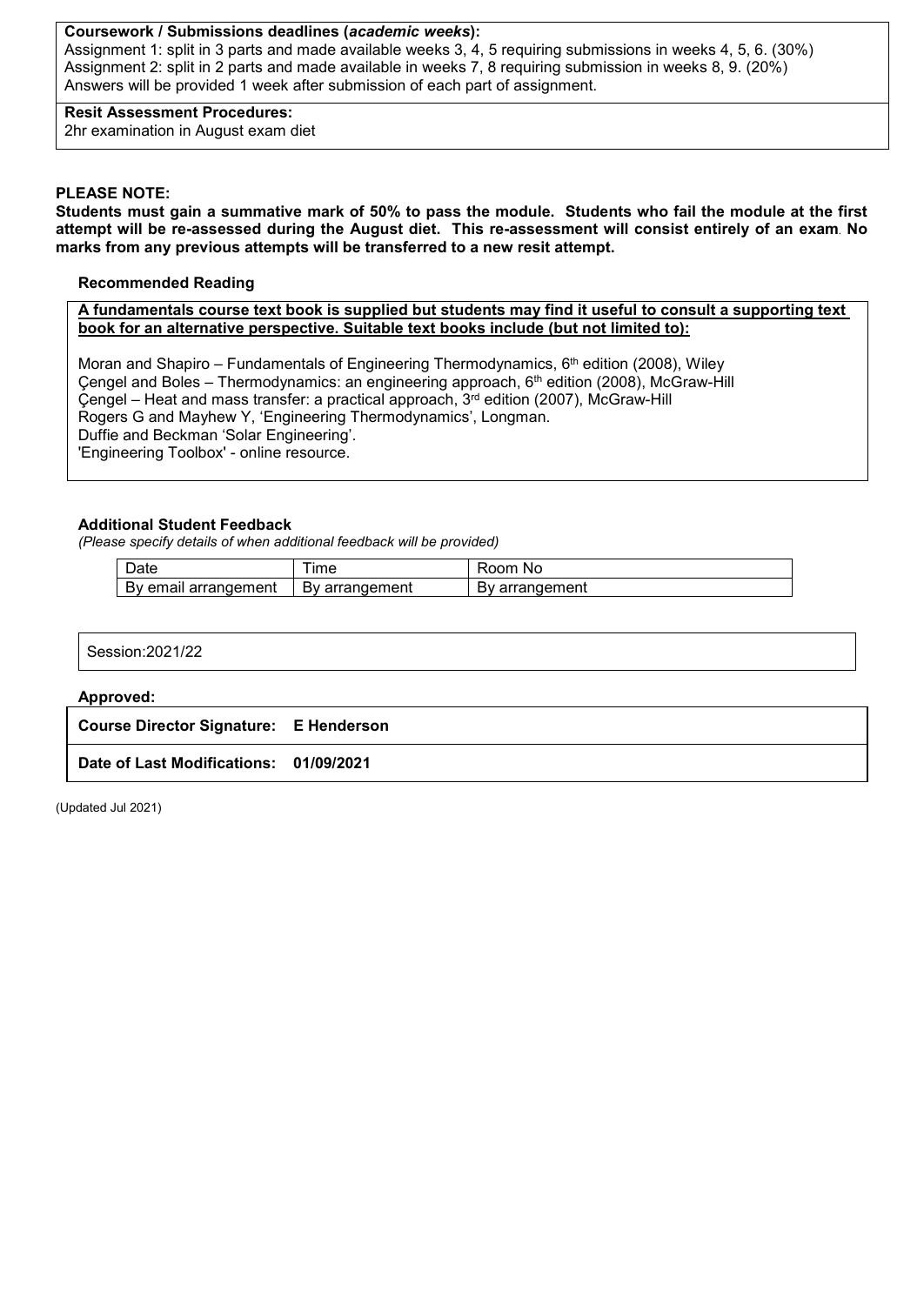#### **Coursework / Submissions deadlines (***academic weeks***):**

Assignment 1: split in 3 parts and made available weeks 3, 4, 5 requiring submissions in weeks 4, 5, 6. (30%) Assignment 2: split in 2 parts and made available in weeks 7, 8 requiring submission in weeks 8, 9. (20%) Answers will be provided 1 week after submission of each part of assignment.

**Resit Assessment Procedures:** 2hr examination in August exam diet

#### **PLEASE NOTE:**

**Students must gain a summative mark of 50% to pass the module. Students who fail the module at the first attempt will be re-assessed during the August diet. This re-assessment will consist entirely of an exam. No marks from any previous attempts will be transferred to a new resit attempt.**

## **Recommended Reading**

**A fundamentals course text book is supplied but students may find it useful to consult a supporting text book for an alternative perspective. Suitable text books include (but not limited to):**

Moran and Shapiro – Fundamentals of Engineering Thermodynamics,  $6<sup>th</sup>$  edition (2008), Wiley Cengel and Boles – Thermodynamics: an engineering approach, 6<sup>th</sup> edition (2008), McGraw-Hill  $\text{Cengel}$  – Heat and mass transfer: a practical approach,  $3^{rd}$  edition (2007), McGraw-Hill Rogers G and Mayhew Y, 'Engineering Thermodynamics', Longman. Duffie and Beckman 'Solar Engineering'. 'Engineering Toolbox' - online resource.

## **Additional Student Feedback**

*(Please specify details of when additional feedback will be provided)*

| $\overline{\phantom{0}}$<br>⊃ate | <b>Ime</b>                | om<br>N0             |
|----------------------------------|---------------------------|----------------------|
| eman<br>arrangement<br>В٧        | rangement<br><br>DV<br>aı | ∶arrangement<br>— ∨י |

| 14/0c<br>Consistion <sup>00</sup><br>1122 |  |  |  |
|-------------------------------------------|--|--|--|
|                                           |  |  |  |

#### **Approved:**

| <b>Course Director Signature: E Henderson</b> |  |
|-----------------------------------------------|--|
|-----------------------------------------------|--|

**Date of Last Modifications: 01/09/2021**

(Updated Jul 2021)